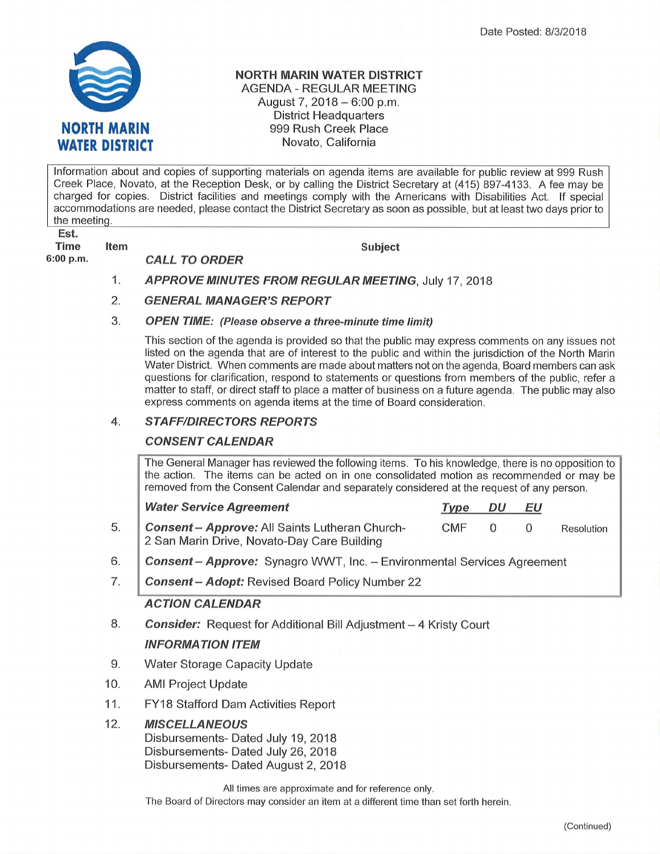

Item

### NORTH MARIN WATER DISTRICT AGENDA - REGULAR MEETING August 7,  $2018 - 6:00$  p.m. District Headquarters 999 Rush Creek Place Novato, California

lnformation about and copies of supporting materials on agenda items are available for public review at 999 Rush Creek Place, Novato, at the Reception Desk, or by calling the District Secretary at (a15) 897-4133. A fee may be charged for copies. District facilities and meetings comply with the Americans with Disabilities Act. lf special accommodations are needed, please contact the District Secretary as soon as possible, but at least two days prior to the meeting.

Est. Time

6:00 p.m

CALL TO ORDER

Subject

- APPROVE MINUTES FROM REGULAR MEETING, July <sup>17</sup>, <sup>2018</sup> 1
- GENERAL MANAGER'S REPORT 2.

#### OPEN TIME: (Please observe a three-minute time limit) 3.

This section of the agenda is provided so that the public may express comments on any issues not listed on the agenda that are of interest to the public and within the jurisdiction of the North Marin Water District. When comments are made about matters not on the agenda, Board members can ask questions for clarification, respond to statements or questions from members of the public, refer a matter to staff, or direct staff to place a matter of business on a future agenda. The public may also express comments on agenda items at the time of Board consideration.

#### **STAFF/DIRECTORS REPORTS** 4.

# **CONSENT CALENDAR**

The General Manager has reviewed the following items. To his knowledge, there is no opposition to the action. The items can be acted on in one consolidated motion as recommended or may be removed from the Consent Calendar and separately considered at the request of any person.

| <b>Water Service Agreement</b>                    | Type | DU | EU         |            |
|---------------------------------------------------|------|----|------------|------------|
| 5. Consent - Approve: All Saints Lutheran Church- | CMF  |    | $^{\circ}$ | Resolution |
| 2 San Marin Drive, Novato-Day Care Building       |      |    |            |            |

- **Consent Approve:** Synagro WWT, Inc. Environmental Services Agreement 6
- Consent Adopt: Revised Board Policy Number 22 7

# ACTION CALENDAR

- **Consider:** Request for Additional Bill Adjustment 4 Kristy Court INFORMATION ITEM 8.
- Water Storage Capacity Update 9.
- AMI Project Update 10
- FY18 Stafford Dam Activities Report 11

#### **MISCELLANEOUS** 12

Disbursements- Dated July 19,2018 Disbursements- Dated July 26, 2018 Disbursements- Dated August 2, 2018

All times are approximate and for reference only.

The Board of Directors may consider an item at a different time than set forth herein.